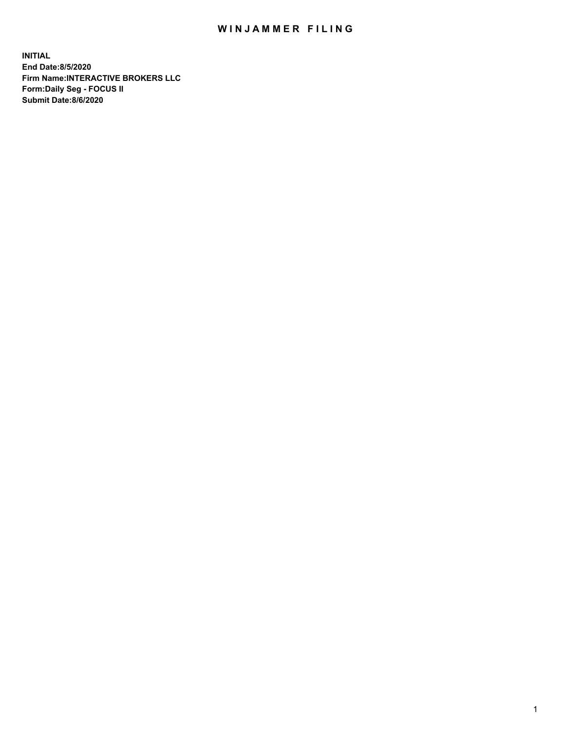## WIN JAMMER FILING

**INITIAL End Date:8/5/2020 Firm Name:INTERACTIVE BROKERS LLC Form:Daily Seg - FOCUS II Submit Date:8/6/2020**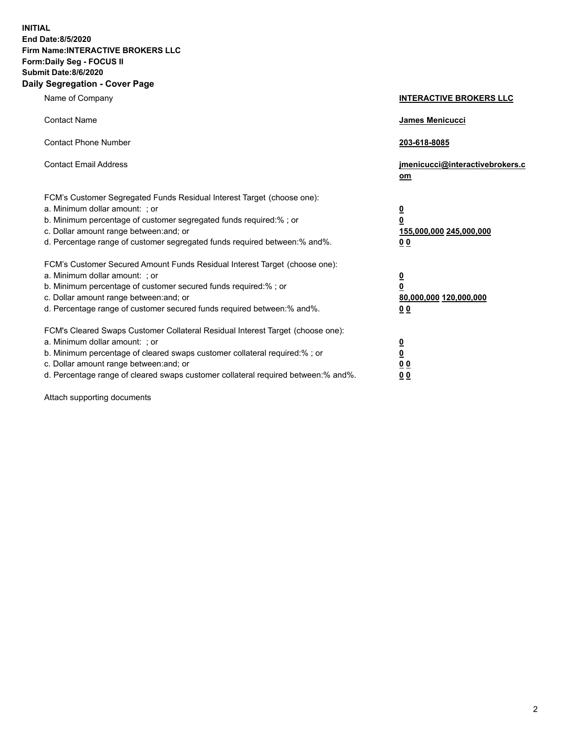**INITIAL End Date:8/5/2020 Firm Name:INTERACTIVE BROKERS LLC Form:Daily Seg - FOCUS II Submit Date:8/6/2020 Daily Segregation - Cover Page**

| Name of Company                                                                                                                                                                                                                                                                                                                | <b>INTERACTIVE BROKERS LLC</b>                                                                  |
|--------------------------------------------------------------------------------------------------------------------------------------------------------------------------------------------------------------------------------------------------------------------------------------------------------------------------------|-------------------------------------------------------------------------------------------------|
| <b>Contact Name</b>                                                                                                                                                                                                                                                                                                            | James Menicucci                                                                                 |
| <b>Contact Phone Number</b>                                                                                                                                                                                                                                                                                                    | 203-618-8085                                                                                    |
| <b>Contact Email Address</b>                                                                                                                                                                                                                                                                                                   | jmenicucci@interactivebrokers.c<br>om                                                           |
| FCM's Customer Segregated Funds Residual Interest Target (choose one):<br>a. Minimum dollar amount: : or<br>b. Minimum percentage of customer segregated funds required:% ; or<br>c. Dollar amount range between: and; or<br>d. Percentage range of customer segregated funds required between:% and%.                         | $\overline{\mathbf{0}}$<br>$\overline{\mathbf{0}}$<br>155,000,000 245,000,000<br>0 <sub>0</sub> |
| FCM's Customer Secured Amount Funds Residual Interest Target (choose one):<br>a. Minimum dollar amount: ; or<br>b. Minimum percentage of customer secured funds required:% ; or<br>c. Dollar amount range between: and; or<br>d. Percentage range of customer secured funds required between:% and%.                           | $\frac{0}{0}$<br>80,000,000 120,000,000<br>00                                                   |
| FCM's Cleared Swaps Customer Collateral Residual Interest Target (choose one):<br>a. Minimum dollar amount: ; or<br>b. Minimum percentage of cleared swaps customer collateral required:% ; or<br>c. Dollar amount range between: and; or<br>d. Percentage range of cleared swaps customer collateral required between:% and%. | $\overline{\mathbf{0}}$<br>$\underline{\mathbf{0}}$<br>0 <sub>0</sub><br>0 <sub>0</sub>         |

Attach supporting documents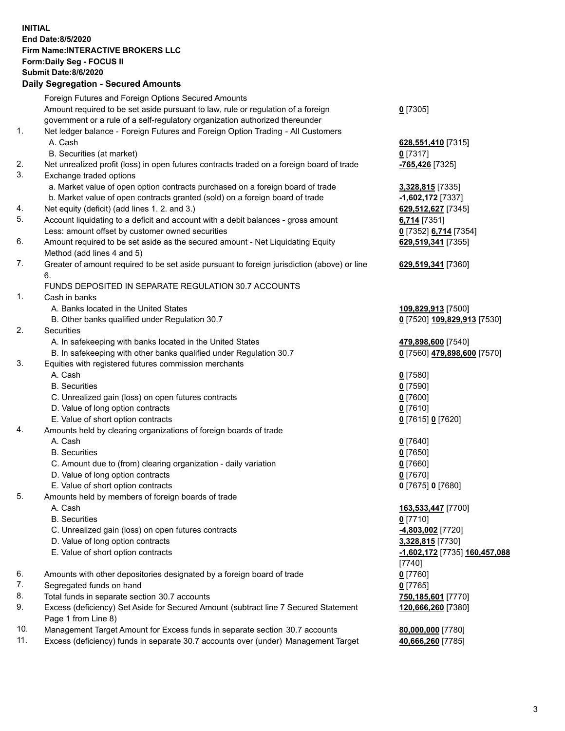## **INITIAL End Date:8/5/2020 Firm Name:INTERACTIVE BROKERS LLC Form:Daily Seg - FOCUS II Submit Date:8/6/2020 Daily Segregation - Secured Amounts**

|     | Daily Jegiegation - Jeculeu Alliounts                                                       |                               |
|-----|---------------------------------------------------------------------------------------------|-------------------------------|
|     | Foreign Futures and Foreign Options Secured Amounts                                         |                               |
|     | Amount required to be set aside pursuant to law, rule or regulation of a foreign            | $0$ [7305]                    |
|     | government or a rule of a self-regulatory organization authorized thereunder                |                               |
| 1.  | Net ledger balance - Foreign Futures and Foreign Option Trading - All Customers             |                               |
|     | A. Cash                                                                                     | 628,551,410 [7315]            |
|     | B. Securities (at market)                                                                   | $0$ [7317]                    |
| 2.  | Net unrealized profit (loss) in open futures contracts traded on a foreign board of trade   | -765,426 [7325]               |
| 3.  | Exchange traded options                                                                     |                               |
|     | a. Market value of open option contracts purchased on a foreign board of trade              | 3,328,815 [7335]              |
|     | b. Market value of open contracts granted (sold) on a foreign board of trade                | -1,602,172 [7337]             |
| 4.  | Net equity (deficit) (add lines 1. 2. and 3.)                                               | 629,512,627 [7345]            |
| 5.  | Account liquidating to a deficit and account with a debit balances - gross amount           | 6,714 [7351]                  |
|     | Less: amount offset by customer owned securities                                            | 0 [7352] 6,714 [7354]         |
| 6.  | Amount required to be set aside as the secured amount - Net Liquidating Equity              | 629,519,341 [7355]            |
|     | Method (add lines 4 and 5)                                                                  |                               |
| 7.  | Greater of amount required to be set aside pursuant to foreign jurisdiction (above) or line | 629,519,341 [7360]            |
|     | 6.                                                                                          |                               |
|     | FUNDS DEPOSITED IN SEPARATE REGULATION 30.7 ACCOUNTS                                        |                               |
| 1.  | Cash in banks                                                                               |                               |
|     | A. Banks located in the United States                                                       | 109,829,913 [7500]            |
|     | B. Other banks qualified under Regulation 30.7                                              | 0 [7520] 109,829,913 [7530]   |
| 2.  | Securities                                                                                  |                               |
|     | A. In safekeeping with banks located in the United States                                   | 479,898,600 [7540]            |
|     | B. In safekeeping with other banks qualified under Regulation 30.7                          | 0 [7560] 479,898,600 [7570]   |
| 3.  | Equities with registered futures commission merchants                                       |                               |
|     | A. Cash                                                                                     | $0$ [7580]                    |
|     | <b>B.</b> Securities                                                                        | $0$ [7590]                    |
|     | C. Unrealized gain (loss) on open futures contracts                                         | $0$ [7600]                    |
|     | D. Value of long option contracts                                                           | $0$ [7610]                    |
|     | E. Value of short option contracts                                                          | 0 [7615] 0 [7620]             |
| 4.  | Amounts held by clearing organizations of foreign boards of trade                           |                               |
|     | A. Cash                                                                                     | $0$ [7640]                    |
|     | <b>B.</b> Securities                                                                        | $0$ [7650]                    |
|     | C. Amount due to (from) clearing organization - daily variation                             | $0$ [7660]                    |
|     | D. Value of long option contracts                                                           | $0$ [7670]                    |
|     | E. Value of short option contracts                                                          | 0 [7675] 0 [7680]             |
| 5.  | Amounts held by members of foreign boards of trade                                          |                               |
|     | A. Cash                                                                                     | 163,533,447 [7700]            |
|     | <b>B.</b> Securities                                                                        | $0$ [7710]                    |
|     | C. Unrealized gain (loss) on open futures contracts                                         | -4,803,002 [7720]             |
|     | D. Value of long option contracts                                                           | 3,328,815 [7730]              |
|     | E. Value of short option contracts                                                          | -1,602,172 [7735] 160,457,088 |
|     |                                                                                             | [7740]                        |
| 6.  | Amounts with other depositories designated by a foreign board of trade                      | $0$ [7760]                    |
| 7.  | Segregated funds on hand                                                                    | $0$ [7765]                    |
| 8.  | Total funds in separate section 30.7 accounts                                               | 750,185,601 [7770]            |
| 9.  | Excess (deficiency) Set Aside for Secured Amount (subtract line 7 Secured Statement         | 120,666,260 [7380]            |
|     | Page 1 from Line 8)                                                                         |                               |
| 10. | Management Target Amount for Excess funds in separate section 30.7 accounts                 | 80,000,000 [7780]             |
| 11. | Excess (deficiency) funds in separate 30.7 accounts over (under) Management Target          | 40,666,260 [7785]             |
|     |                                                                                             |                               |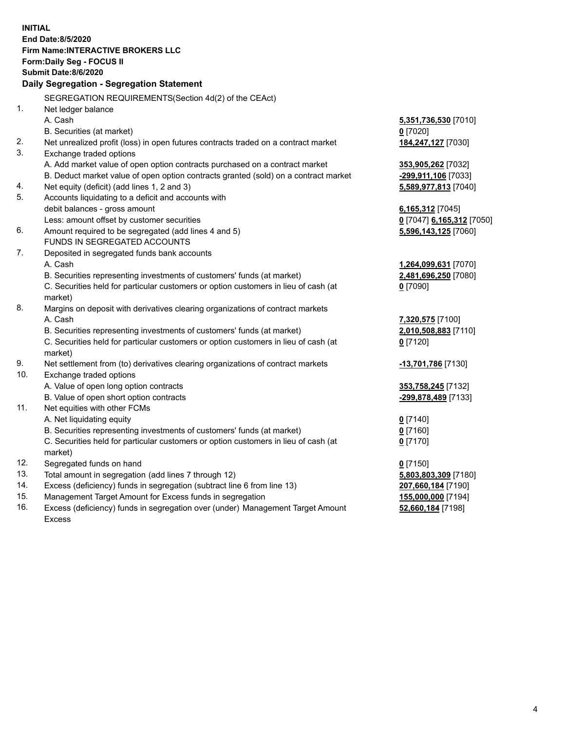**INITIAL End Date:8/5/2020 Firm Name:INTERACTIVE BROKERS LLC Form:Daily Seg - FOCUS II Submit Date:8/6/2020 Daily Segregation - Segregation Statement** SEGREGATION REQUIREMENTS(Section 4d(2) of the CEAct) 1. Net ledger balance A. Cash **5,351,736,530** [7010] B. Securities (at market) **0** [7020] 2. Net unrealized profit (loss) in open futures contracts traded on a contract market **184,247,127** [7030] 3. Exchange traded options A. Add market value of open option contracts purchased on a contract market **353,905,262** [7032] B. Deduct market value of open option contracts granted (sold) on a contract market **-299,911,106** [7033] 4. Net equity (deficit) (add lines 1, 2 and 3) **5,589,977,813** [7040] 5. Accounts liquidating to a deficit and accounts with debit balances - gross amount **6,165,312** [7045] Less: amount offset by customer securities **0** [7047] **6,165,312** [7050] 6. Amount required to be segregated (add lines 4 and 5) **5,596,143,125** [7060] FUNDS IN SEGREGATED ACCOUNTS 7. Deposited in segregated funds bank accounts A. Cash **1,264,099,631** [7070] B. Securities representing investments of customers' funds (at market) **2,481,696,250** [7080] C. Securities held for particular customers or option customers in lieu of cash (at market) **0** [7090] 8. Margins on deposit with derivatives clearing organizations of contract markets A. Cash **7,320,575** [7100] B. Securities representing investments of customers' funds (at market) **2,010,508,883** [7110] C. Securities held for particular customers or option customers in lieu of cash (at market) **0** [7120] 9. Net settlement from (to) derivatives clearing organizations of contract markets **-13,701,786** [7130] 10. Exchange traded options A. Value of open long option contracts **353,758,245** [7132] B. Value of open short option contracts **-299,878,489** [7133] 11. Net equities with other FCMs A. Net liquidating equity **0** [7140] B. Securities representing investments of customers' funds (at market) **0** [7160] C. Securities held for particular customers or option customers in lieu of cash (at market) **0** [7170] 12. Segregated funds on hand **0** [7150] 13. Total amount in segregation (add lines 7 through 12) **5,803,803,309** [7180] 14. Excess (deficiency) funds in segregation (subtract line 6 from line 13) **207,660,184** [7190] 15. Management Target Amount for Excess funds in segregation **155,000,000** [7194] 16. Excess (deficiency) funds in segregation over (under) Management Target Amount **52,660,184** [7198]

Excess